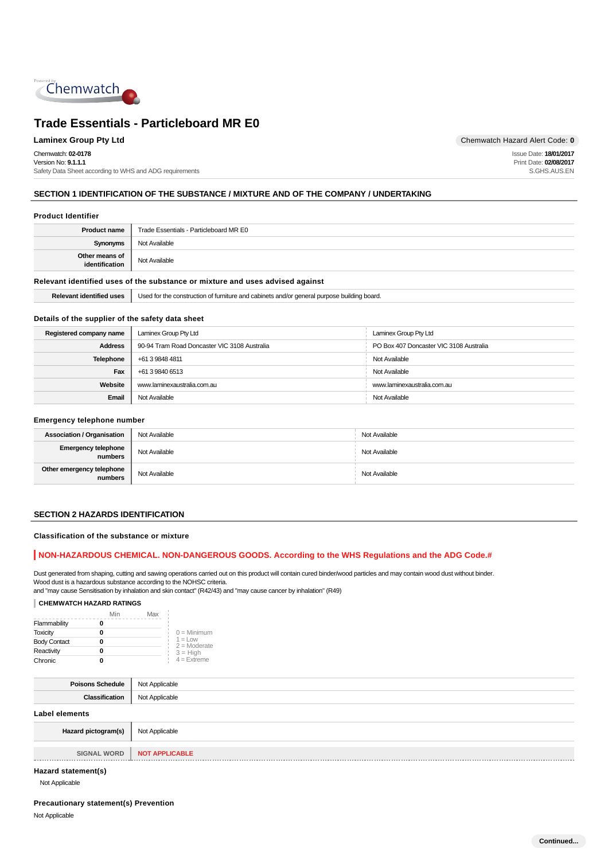

Chemwatch: **02-0178** Version No: **9.1.1.1** Safety Data Sheet according to WHS and ADG requirements

**Laminex Group Pty Ltd Chemwatch Hazard Alert Code: 0** 

Issue Date: **18/01/2017** Print Date: **02/08/2017** S.GHS.AUS.EN

## **SECTION 1 IDENTIFICATION OF THE SUBSTANCE / MIXTURE AND OF THE COMPANY / UNDERTAKING**

#### **Product Identifier**

| <b>Product name</b>                                                           | Trade Essentials - Particleboard MR E0 |
|-------------------------------------------------------------------------------|----------------------------------------|
| Synonyms                                                                      | Not Available                          |
| Other means of<br>identification                                              | Not Available                          |
| Relevant identified uses of the substance or mixture and uses advised against |                                        |

| i uses | it turniture and cabinets and/or general purpose building board.<br>Used for the<br>, construction $\epsilon$ |
|--------|---------------------------------------------------------------------------------------------------------------|
|        |                                                                                                               |

## **Details of the supplier of the safety data sheet**

| Registered company name                | Laminex Group Pty Ltd                        | Laminex Group Pty Ltd                   |
|----------------------------------------|----------------------------------------------|-----------------------------------------|
| <b>Address</b>                         | 90-94 Tram Road Doncaster VIC 3108 Australia | PO Box 407 Doncaster VIC 3108 Australia |
| <b>Telephone</b>                       | +61 3 9848 4811                              | Not Available                           |
| Fax                                    | Not Available<br>+61 3 9840 6513             |                                         |
| Website<br>www.laminexaustralia.com.au |                                              | www.laminexaustralia.com.au             |
| Email                                  | Not Available                                | Not Available                           |

#### **Emergency telephone number**

| <b>Association / Organisation</b>     | Not Available | Not Available |
|---------------------------------------|---------------|---------------|
| <b>Emergency telephone</b><br>numbers | Not Available | Not Available |
| Other emergency telephone<br>numbers  | Not Available | Not Available |

## **SECTION 2 HAZARDS IDENTIFICATION**

**Classification of the substance or mixture**

### **NON-HAZARDOUS CHEMICAL. NON-DANGEROUS GOODS. According to the WHS Regulations and the ADG Code.#**

Dust generated from shaping, cutting and sawing operations carried out on this product will contain cured binder/wood particles and may contain wood dust without binder. Wood dust is a hazardous substance according to the NOHSC criteria.

and "may cause Sensitisation by inhalation and skin contact" (R42/43) and "may cause cancer by inhalation" (R49)

### **CHEMWATCH HAZARD RATINGS**

|                     | Min | Max |                              |
|---------------------|-----|-----|------------------------------|
| Flammability        |     |     |                              |
| <b>Toxicity</b>     | 0   |     | $0 =$ Minimum                |
| <b>Body Contact</b> | 0   |     | $1 = 1$ OW<br>$2 =$ Moderate |
| Reactivity          | o   |     | $3 = High$                   |
| Chronic             |     |     | $4 =$ Extreme                |

|     | חו     |
|-----|--------|
| The | $\sim$ |

#### **Label elements**

| Hazard pictogram(s)                                                                                                                                                                                                             | Not Applicable        |
|---------------------------------------------------------------------------------------------------------------------------------------------------------------------------------------------------------------------------------|-----------------------|
|                                                                                                                                                                                                                                 |                       |
| <b>SIGNAL WORD</b>                                                                                                                                                                                                              | <b>NOT APPLICABLE</b> |
|                                                                                                                                                                                                                                 |                       |
| $\sim$ . The contract of the contract of the contract of the contract of the contract of the contract of the contract of the contract of the contract of the contract of the contract of the contract of the contract of the co |                       |

## **Hazard statement(s)**

Not Applicable

## **Precautionary statement(s) Prevention**

Not Applicable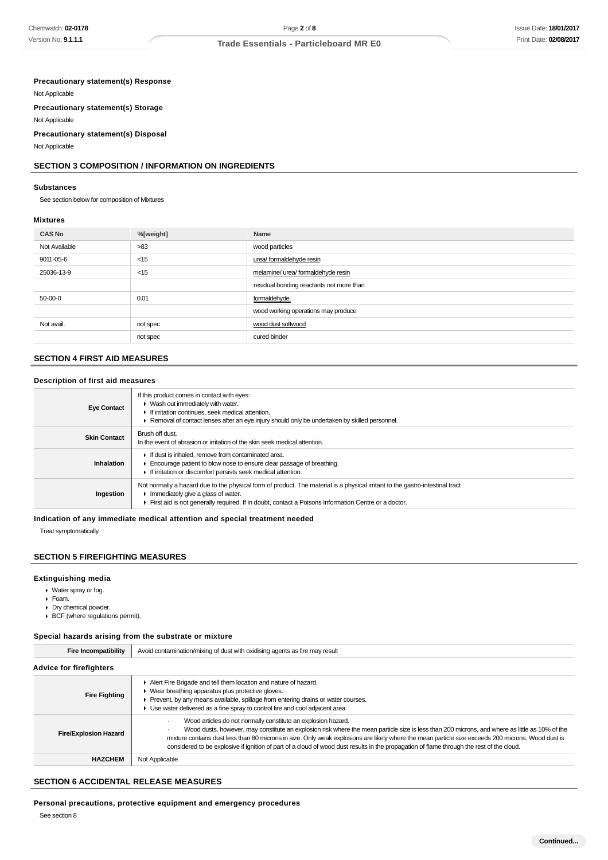### Issue Date: **18/01/2017** Print Date: **02/08/2017**

## **Trade Essentials - Particleboard MR E0**

#### **Precautionary statement(s) Response**

Not Applicable

**Precautionary statement(s) Storage**

Not Applicable

#### **Precautionary statement(s) Disposal**

Not Applicable

## **SECTION 3 COMPOSITION / INFORMATION ON INGREDIENTS**

#### **Substances**

See section below for composition of Mixtures

#### **Mixtures**

| <b>CAS No</b> | %[weight] | Name                                     |
|---------------|-----------|------------------------------------------|
| Not Available | >83       | wood particles                           |
| 9011-05-6     | $<$ 15    | urea/ formaldehyde resin                 |
| 25036-13-9    | $<$ 15    | melamine/ urea/ formaldehyde resin       |
|               |           | residual bonding reactants not more than |
| 50-00-0       | 0.01      | formaldehyde.                            |
|               |           | wood working operations may produce      |
| Not avail.    | not spec  | wood dust softwood                       |
|               | not spec  | cured binder                             |

### **SECTION 4 FIRST AID MEASURES**

#### **Description of first aid measures**

| <b>Eye Contact</b>  | If this product comes in contact with eyes:<br>• Wash out immediately with water.<br>If irritation continues, seek medical attention.<br>Removal of contact lenses after an eye injury should only be undertaken by skilled personnel.                                     |
|---------------------|----------------------------------------------------------------------------------------------------------------------------------------------------------------------------------------------------------------------------------------------------------------------------|
| <b>Skin Contact</b> | Brush off dust.<br>In the event of abrasion or irritation of the skin seek medical attention.                                                                                                                                                                              |
| Inhalation          | If dust is inhaled, remove from contaminated area.<br>Encourage patient to blow nose to ensure clear passage of breathing.<br>If irritation or discomfort persists seek medical attention.                                                                                 |
| Ingestion           | Not normally a hazard due to the physical form of product. The material is a physical irritant to the gastro-intestinal tract<br>Immediately give a glass of water.<br>First aid is not generally required. If in doubt, contact a Poisons Information Centre or a doctor. |

## **Indication of any immediate medical attention and special treatment needed**

Treat symptomatically.

#### **SECTION 5 FIREFIGHTING MEASURES**

#### **Extinguishing media**

- Water spray or fog.
- Foam.
- Dry chemical powder.
- ▶ BCF (where regulations permit).

#### **Special hazards arising from the substrate or mixture**

| <b>Fire Incompatibility</b>    | Avoid contamination/mixing of dust with oxidising agents as fire may result                                                                                                                                                                                                                                                                                                                                                                                                                                        |  |  |
|--------------------------------|--------------------------------------------------------------------------------------------------------------------------------------------------------------------------------------------------------------------------------------------------------------------------------------------------------------------------------------------------------------------------------------------------------------------------------------------------------------------------------------------------------------------|--|--|
| <b>Advice for firefighters</b> |                                                                                                                                                                                                                                                                                                                                                                                                                                                                                                                    |  |  |
| <b>Fire Fighting</b>           | Alert Fire Brigade and tell them location and nature of hazard.<br>• Wear breathing apparatus plus protective gloves.<br>Prevent, by any means available, spillage from entering drains or water courses.<br>Use water delivered as a fine spray to control fire and cool adjacent area.                                                                                                                                                                                                                           |  |  |
| <b>Fire/Explosion Hazard</b>   | Wood articles do not normally constitute an explosion hazard.<br>Wood dusts, however, may constitute an explosion risk where the mean particle size is less than 200 microns, and where as little as 10% of the<br>mixture contains dust less than 80 microns in size. Only weak explosions are likely where the mean particle size exceeds 200 microns. Wood dust is<br>considered to be explosive if ignition of part of a cloud of wood dust results in the propagation of flame through the rest of the cloud. |  |  |
| <b>HAZCHEM</b>                 | Not Applicable                                                                                                                                                                                                                                                                                                                                                                                                                                                                                                     |  |  |

## **SECTION 6 ACCIDENTAL RELEASE MEASURES**

**Personal precautions, protective equipment and emergency procedures**

See section 8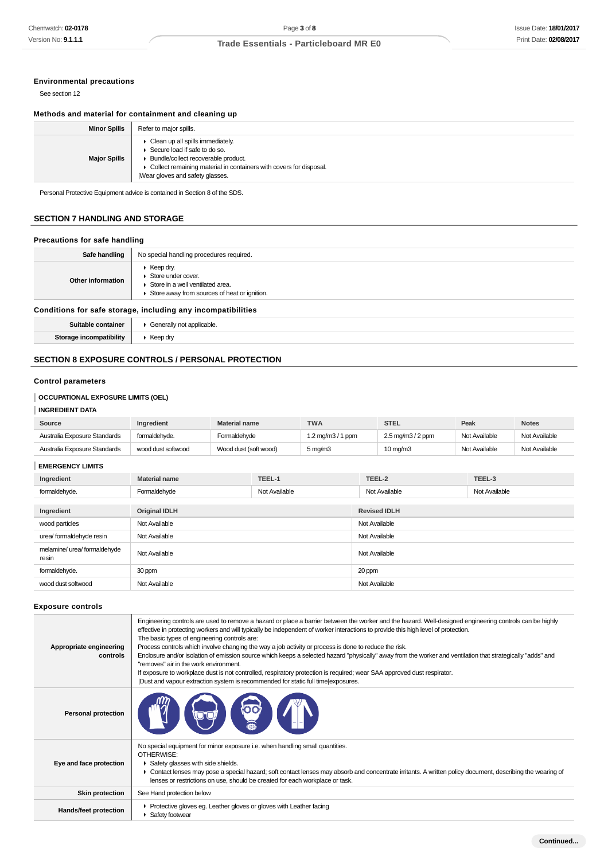## **Environmental precautions**

See section 12

#### **Methods and material for containment and cleaning up**

| <b>Minor Spills</b> | Refer to major spills.                                                                                                                                                                                                    |
|---------------------|---------------------------------------------------------------------------------------------------------------------------------------------------------------------------------------------------------------------------|
| <b>Major Spills</b> | • Clean up all spills immediately.<br>▶ Secure load if safe to do so.<br>▶ Bundle/collect recoverable product.<br>• Collect remaining material in containers with covers for disposal.<br>Wear gloves and safety glasses. |

Personal Protective Equipment advice is contained in Section 8 of the SDS.

## **SECTION 7 HANDLING AND STORAGE**

## **Precautions for safe handling**

| Safe handling                                                | No special handling procedures required.                                                                                                    |
|--------------------------------------------------------------|---------------------------------------------------------------------------------------------------------------------------------------------|
| Other information                                            | $\blacktriangleright$ Keep dry.<br>Store under cover.<br>Store in a well ventilated area.<br>▶ Store away from sources of heat or ignition. |
| Conditions for safe storage, including any incompatibilities |                                                                                                                                             |

| 17.22 |
|-------|

## **SECTION 8 EXPOSURE CONTROLS / PERSONAL PROTECTION**

#### **Control parameters**

## **OCCUPATIONAL EXPOSURE LIMITS (OEL)**

## **INGREDIENT DATA**

| Source                       | <b>Ingredient</b>  | <b>Material name</b>  | <b>TWA</b>                              | STEL                                       | Peak          | <b>Notes</b>  |
|------------------------------|--------------------|-----------------------|-----------------------------------------|--------------------------------------------|---------------|---------------|
| Australia Exposure Standards | formaldehyde.      | Formaldehvde          | $1.2 \,\mathrm{mq/m}3/1 \,\mathrm{ppm}$ | $2.5 \,\mathrm{mq/m}$ $3/2 \,\mathrm{ppm}$ | Not Available | Not Available |
| Australia Exposure Standards | wood dust softwood | Wood dust (soft wood) | $5 \,\mathrm{mq/m}$                     | $10 \text{ mg/m}$                          | Not Available | Not Available |

## **EMERGENCY LIMITS**

| Ingredient                            | <b>Material name</b> | TEEL-1        | TEEL-2              | TEEL-3        |  |
|---------------------------------------|----------------------|---------------|---------------------|---------------|--|
| formaldehyde.                         | Formaldehyde         | Not Available | Not Available       | Not Available |  |
| Ingredient                            | <b>Original IDLH</b> |               | <b>Revised IDLH</b> |               |  |
| wood particles                        | Not Available        |               | Not Available       |               |  |
| urea/ formaldehyde resin              | Not Available        |               | Not Available       |               |  |
| melamine/ urea/ formaldehyde<br>resin | Not Available        |               | Not Available       |               |  |
| formaldehyde.                         | 30 ppm               |               | 20 ppm              |               |  |
| wood dust softwood                    | Not Available        |               | Not Available       |               |  |

#### **Exposure controls**

| Appropriate engineering<br>controls | Engineering controls are used to remove a hazard or place a barrier between the worker and the hazard. Well-designed engineering controls can be highly<br>effective in protecting workers and will typically be independent of worker interactions to provide this high level of protection.<br>The basic types of engineering controls are:<br>Process controls which involve changing the way a job activity or process is done to reduce the risk.<br>Enclosure and/or isolation of emission source which keeps a selected hazard "physically" away from the worker and ventilation that strategically "adds" and<br>"removes" air in the work environment.<br>If exposure to workplace dust is not controlled, respiratory protection is required; wear SAA approved dust respirator.<br>Dust and vapour extraction system is recommended for static full time exposures. |
|-------------------------------------|--------------------------------------------------------------------------------------------------------------------------------------------------------------------------------------------------------------------------------------------------------------------------------------------------------------------------------------------------------------------------------------------------------------------------------------------------------------------------------------------------------------------------------------------------------------------------------------------------------------------------------------------------------------------------------------------------------------------------------------------------------------------------------------------------------------------------------------------------------------------------------|
| <b>Personal protection</b>          | <b>too</b>                                                                                                                                                                                                                                                                                                                                                                                                                                                                                                                                                                                                                                                                                                                                                                                                                                                                     |
| Eye and face protection             | No special equipment for minor exposure i.e. when handling small quantities.<br>OTHERWISE:<br>Safety glasses with side shields.<br>► Contact lenses may pose a special hazard; soft contact lenses may absorb and concentrate irritants. A written policy document, describing the wearing of<br>lenses or restrictions on use, should be created for each workplace or task.                                                                                                                                                                                                                                                                                                                                                                                                                                                                                                  |
| <b>Skin protection</b>              | See Hand protection below                                                                                                                                                                                                                                                                                                                                                                                                                                                                                                                                                                                                                                                                                                                                                                                                                                                      |
| Hands/feet protection               | ▶ Protective gloves eg. Leather gloves or gloves with Leather facing<br>Safety footwear                                                                                                                                                                                                                                                                                                                                                                                                                                                                                                                                                                                                                                                                                                                                                                                        |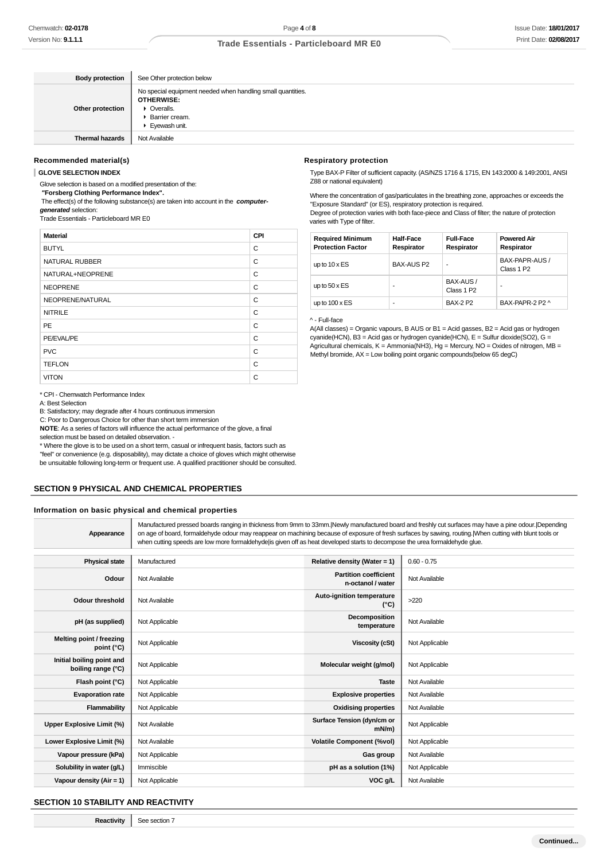| <b>Body protection</b> | See Other protection below                                                                                                           |
|------------------------|--------------------------------------------------------------------------------------------------------------------------------------|
| Other protection       | No special equipment needed when handling small quantities.<br><b>OTHERWISE:</b><br>• Overalls.<br>▶ Barrier cream.<br>Eyewash unit. |
| <b>Thermal hazards</b> | Not Available                                                                                                                        |

#### **Recommended material(s)**

**GLOVE SELECTION INDEX**

Glove selection is based on a modified presentation of the:

 **"Forsberg Clothing Performance Index".** The effect(s) of the following substance(s) are taken into account in the **computer-**

**generated** selection: Trade Essentials - Particleboard MR E0

| <b>Material</b>       | CPI |
|-----------------------|-----|
| <b>BUTYL</b>          | C   |
| <b>NATURAL RUBBER</b> | C   |
| NATURAL+NEOPRENE      | C   |
| <b>NEOPRENE</b>       | C   |
| NEOPRENE/NATURAL      | C   |
| <b>NITRILE</b>        | C   |
| <b>PE</b>             | C   |
| PE/EVAL/PE            | C   |
| <b>PVC</b>            | C   |
| <b>TEFLON</b>         | C   |
| <b>VITON</b>          | C   |

\* CPI - Chemwatch Performance Index

A: Best Selection

B: Satisfactory; may degrade after 4 hours continuous immersion

C: Poor to Dangerous Choice for other than short term immersion

**NOTE**: As a series of factors will influence the actual performance of the glove, a final

selection must be based on detailed observation. -

\* Where the glove is to be used on a short term, casual or infrequent basis, factors such as "feel" or convenience (e.g. disposability), may dictate a choice of gloves which might otherwise be unsuitable following long-term or frequent use. A qualified practitioner should be consulted.

## **SECTION 9 PHYSICAL AND CHEMICAL PROPERTIES**

#### **Information on basic physical and chemical properties**

| Appearance                                      | Manufactured pressed boards ranging in thickness from 9mm to 33mm. Newly manufactured board and freshly cut surfaces may have a pine odour. Depending<br>on age of board, formaldehyde odour may reappear on machining because of exposure of fresh surfaces by sawing, routing. [When cutting with blunt tools or<br>when cutting speeds are low more formaldehyde is given off as heat developed starts to decompose the urea formaldehyde glue. |                                                   |                |
|-------------------------------------------------|----------------------------------------------------------------------------------------------------------------------------------------------------------------------------------------------------------------------------------------------------------------------------------------------------------------------------------------------------------------------------------------------------------------------------------------------------|---------------------------------------------------|----------------|
|                                                 |                                                                                                                                                                                                                                                                                                                                                                                                                                                    |                                                   |                |
| <b>Physical state</b>                           | Manufactured                                                                                                                                                                                                                                                                                                                                                                                                                                       | Relative density (Water = $1$ )                   | $0.60 - 0.75$  |
| Odour                                           | Not Available                                                                                                                                                                                                                                                                                                                                                                                                                                      | <b>Partition coefficient</b><br>n-octanol / water | Not Available  |
| <b>Odour threshold</b>                          | Not Available                                                                                                                                                                                                                                                                                                                                                                                                                                      | Auto-ignition temperature<br>$(^{\circ}C)$        | >220           |
| pH (as supplied)                                | Not Applicable                                                                                                                                                                                                                                                                                                                                                                                                                                     | Decomposition<br>temperature                      | Not Available  |
| Melting point / freezing<br>point (°C)          | Not Applicable                                                                                                                                                                                                                                                                                                                                                                                                                                     | <b>Viscosity (cSt)</b>                            | Not Applicable |
| Initial boiling point and<br>boiling range (°C) | Not Applicable                                                                                                                                                                                                                                                                                                                                                                                                                                     | Molecular weight (g/mol)                          | Not Applicable |
| Flash point (°C)                                | Not Applicable                                                                                                                                                                                                                                                                                                                                                                                                                                     | <b>Taste</b>                                      | Not Available  |
| <b>Evaporation rate</b>                         | Not Applicable                                                                                                                                                                                                                                                                                                                                                                                                                                     | <b>Explosive properties</b>                       | Not Available  |
| Flammability                                    | Not Applicable                                                                                                                                                                                                                                                                                                                                                                                                                                     | <b>Oxidising properties</b>                       | Not Available  |
| Upper Explosive Limit (%)                       | Not Available                                                                                                                                                                                                                                                                                                                                                                                                                                      | Surface Tension (dyn/cm or<br>$mN/m$ )            | Not Applicable |
| Lower Explosive Limit (%)                       | Not Available                                                                                                                                                                                                                                                                                                                                                                                                                                      | <b>Volatile Component (%vol)</b>                  | Not Applicable |
| Vapour pressure (kPa)                           | Not Applicable                                                                                                                                                                                                                                                                                                                                                                                                                                     | Gas group                                         | Not Available  |
| Solubility in water (g/L)                       | Immiscible                                                                                                                                                                                                                                                                                                                                                                                                                                         | pH as a solution (1%)                             | Not Applicable |

**Vapour density (Air = 1)** Not Applicable **VOC g/L** Not Available **VOC g/L** Not Available

#### **SECTION 10 STABILITY AND REACTIVITY**

**Reactivity** See section 7

Type BAX-P Filter of sufficient capacity. (AS/NZS 1716 & 1715, EN 143:2000 & 149:2001, ANSI Z88 or national equivalent)

Where the concentration of gas/particulates in the breathing zone, approaches or exceeds the "Exposure Standard" (or ES), respiratory protection is required. Degree of protection varies with both face-piece and Class of filter; the nature of protection varies with Type of filter.

| <b>Required Minimum</b><br><b>Protection Factor</b> | <b>Half-Face</b><br>Respirator | <b>Full-Face</b><br>Respirator      | <b>Powered Air</b><br>Respirator         |
|-----------------------------------------------------|--------------------------------|-------------------------------------|------------------------------------------|
| up to $10 \times ES$                                | <b>BAX-AUS P2</b>              |                                     | BAX-PAPR-AUS /<br>Class 1 P <sub>2</sub> |
| up to $50 \times ES$                                | ۰                              | BAX-AUS /<br>Class 1 P <sub>2</sub> | -                                        |
| up to $100 \times ES$                               | ۰                              | <b>BAX-2 P2</b>                     | BAX-PAPR-2 P2 ^                          |

#### ^ - Full-face

A(All classes) = Organic vapours, B AUS or B1 = Acid gasses, B2 = Acid gas or hydrogen cyanide(HCN), B3 = Acid gas or hydrogen cyanide(HCN), E = Sulfur dioxide(SO2), G = Agricultural chemicals,  $K =$  Ammonia(NH3), Hg = Mercury, NO = Oxides of nitrogen, MB = Methyl bromide, AX = Low boiling point organic compounds(below 65 degC)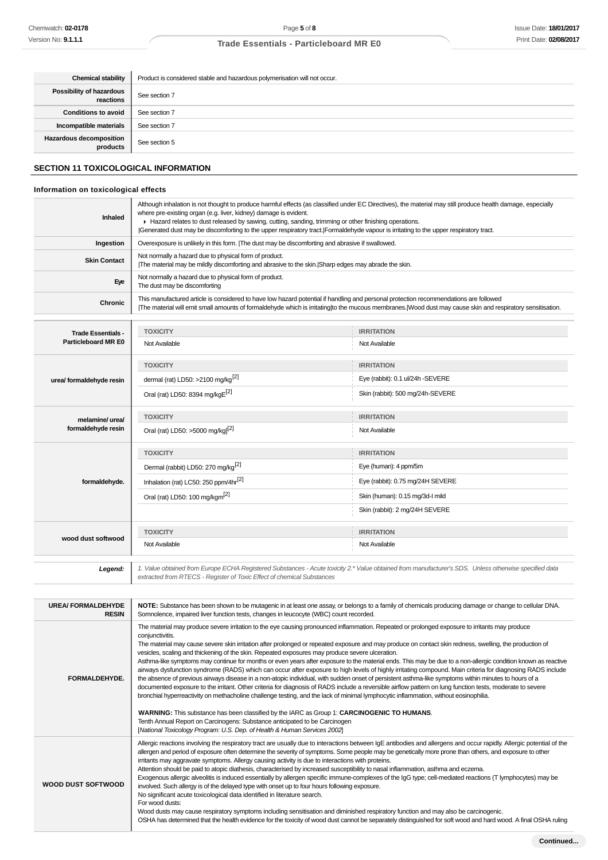| <b>Chemical stability</b>                  | Product is considered stable and hazardous polymerisation will not occur. |  |
|--------------------------------------------|---------------------------------------------------------------------------|--|
| Possibility of hazardous<br>reactions      | See section 7                                                             |  |
| <b>Conditions to avoid</b>                 | See section 7                                                             |  |
| Incompatible materials                     | See section 7                                                             |  |
| <b>Hazardous decomposition</b><br>products | See section 5                                                             |  |

## **SECTION 11 TOXICOLOGICAL INFORMATION**

## **Information on toxicological effects**

| <b>Inhaled</b>                                          | Although inhalation is not thought to produce harmful effects (as classified under EC Directives), the material may still produce health damage, especially<br>where pre-existing organ (e.g. liver, kidney) damage is evident.<br>► Hazard relates to dust released by sawing, cutting, sanding, trimming or other finishing operations.<br>Generated dust may be discomforting to the upper respiratory tract. Formaldehyde vapour is irritating to the upper respiratory tract. |                                  |  |
|---------------------------------------------------------|------------------------------------------------------------------------------------------------------------------------------------------------------------------------------------------------------------------------------------------------------------------------------------------------------------------------------------------------------------------------------------------------------------------------------------------------------------------------------------|----------------------------------|--|
| Ingestion                                               | Overexposure is unlikely in this form.  The dust may be discomforting and abrasive if swallowed.                                                                                                                                                                                                                                                                                                                                                                                   |                                  |  |
| <b>Skin Contact</b>                                     | Not normally a hazard due to physical form of product.<br>The material may be mildly discomforting and abrasive to the skin. Sharp edges may abrade the skin.                                                                                                                                                                                                                                                                                                                      |                                  |  |
| Eye                                                     | Not normally a hazard due to physical form of product.<br>The dust may be discomforting                                                                                                                                                                                                                                                                                                                                                                                            |                                  |  |
| Chronic                                                 | This manufactured article is considered to have low hazard potential if handling and personal protection recommendations are followed<br>The material will emit small amounts of formaldehyde which is irritating to the mucous membranes. Wood dust may cause skin and respiratory sensitisation.                                                                                                                                                                                 |                                  |  |
|                                                         | <b>TOXICITY</b><br><b>IRRITATION</b>                                                                                                                                                                                                                                                                                                                                                                                                                                               |                                  |  |
| <b>Trade Essentials -</b><br><b>Particleboard MR E0</b> | Not Available                                                                                                                                                                                                                                                                                                                                                                                                                                                                      | Not Available                    |  |
|                                                         | <b>TOXICITY</b>                                                                                                                                                                                                                                                                                                                                                                                                                                                                    | <b>IRRITATION</b>                |  |
| urea/ formaldehyde resin                                | dermal (rat) LD50: >2100 mg/kg <sup>[2]</sup>                                                                                                                                                                                                                                                                                                                                                                                                                                      | Eye (rabbit): 0.1 ul/24h -SEVERE |  |
|                                                         | Oral (rat) LD50: 8394 mg/kgE[2]                                                                                                                                                                                                                                                                                                                                                                                                                                                    | Skin (rabbit): 500 mg/24h-SEVERE |  |
| melamine/ urea/                                         | <b>TOXICITY</b>                                                                                                                                                                                                                                                                                                                                                                                                                                                                    | <b>IRRITATION</b>                |  |
| formaldehyde resin                                      | Oral (rat) LD50: >5000 mg/kg] <sup>[2]</sup>                                                                                                                                                                                                                                                                                                                                                                                                                                       | Not Available                    |  |
|                                                         | <b>TOXICITY</b>                                                                                                                                                                                                                                                                                                                                                                                                                                                                    | <b>IRRITATION</b>                |  |
|                                                         | Dermal (rabbit) LD50: 270 mg/kg <sup>[2]</sup>                                                                                                                                                                                                                                                                                                                                                                                                                                     | Eye (human): 4 ppm/5m            |  |
| formaldehyde.                                           | Inhalation (rat) LC50: 250 ppm/4hr <sup>[2]</sup>                                                                                                                                                                                                                                                                                                                                                                                                                                  | Eye (rabbit): 0.75 mg/24H SEVERE |  |
|                                                         | Oral (rat) LD50: 100 mg/kgm <sup>[2]</sup>                                                                                                                                                                                                                                                                                                                                                                                                                                         | Skin (human): 0.15 mg/3d-l mild  |  |
|                                                         |                                                                                                                                                                                                                                                                                                                                                                                                                                                                                    | Skin (rabbit): 2 mg/24H SEVERE   |  |
|                                                         | <b>TOXICITY</b>                                                                                                                                                                                                                                                                                                                                                                                                                                                                    | <b>IRRITATION</b>                |  |
| wood dust softwood                                      | Not Available                                                                                                                                                                                                                                                                                                                                                                                                                                                                      | Not Available                    |  |
| Legend:                                                 | 1. Value obtained from Europe ECHA Registered Substances - Acute toxicity 2.* Value obtained from manufacturer's SDS. Unless otherwise specified data<br>extracted from RTECS - Register of Toxic Effect of chemical Substances                                                                                                                                                                                                                                                    |                                  |  |

| <b>UREA/FORMALDEHYDE</b><br><b>RESIN</b> | NOTE: Substance has been shown to be mutagenic in at least one assay, or belongs to a family of chemicals producing damage or change to cellular DNA.<br>Somnolence, impaired liver function tests, changes in leucocyte (WBC) count recorded.                                                                                                                                                                                                                                                                                                                                                                                                                                                                                                                                                                                                                                                                                                                                                                                                                                                                                                                                                                                                                                                                                                                                                                                                                                        |
|------------------------------------------|---------------------------------------------------------------------------------------------------------------------------------------------------------------------------------------------------------------------------------------------------------------------------------------------------------------------------------------------------------------------------------------------------------------------------------------------------------------------------------------------------------------------------------------------------------------------------------------------------------------------------------------------------------------------------------------------------------------------------------------------------------------------------------------------------------------------------------------------------------------------------------------------------------------------------------------------------------------------------------------------------------------------------------------------------------------------------------------------------------------------------------------------------------------------------------------------------------------------------------------------------------------------------------------------------------------------------------------------------------------------------------------------------------------------------------------------------------------------------------------|
| FORMALDEHYDE.                            | The material may produce severe irritation to the eye causing pronounced inflammation. Repeated or prolonged exposure to irritants may produce<br>conjunctivitis.<br>The material may cause severe skin irritation after prolonged or repeated exposure and may produce on contact skin redness, swelling, the production of<br>vesicles, scaling and thickening of the skin. Repeated exposures may produce severe ulceration.<br>Asthma-like symptoms may continue for months or even years after exposure to the material ends. This may be due to a non-allergic condition known as reactive<br>airways dysfunction syndrome (RADS) which can occur after exposure to high levels of highly irritating compound. Main criteria for diagnosing RADS include<br>the absence of previous airways disease in a non-atopic individual, with sudden onset of persistent asthma-like symptoms within minutes to hours of a<br>documented exposure to the irritant. Other criteria for diagnosis of RADS include a reversible airflow pattern on lung function tests, moderate to severe<br>bronchial hyperreactivity on methacholine challenge testing, and the lack of minimal lymphocytic inflammation, without eosinophilia.<br>WARNING: This substance has been classified by the IARC as Group 1: CARCINOGENIC TO HUMANS.<br>Tenth Annual Report on Carcinogens: Substance anticipated to be Carcinogen<br>[National Toxicology Program: U.S. Dep. of Health & Human Services 2002] |
| <b>WOOD DUST SOFTWOOD</b>                | Allergic reactions involving the respiratory tract are usually due to interactions between IgE antibodies and allergens and occur rapidly. Allergic potential of the<br>allergen and period of exposure often determine the severity of symptoms. Some people may be genetically more prone than others, and exposure to other<br>irritants may aggravate symptoms. Allergy causing activity is due to interactions with proteins.<br>Attention should be paid to atopic diathesis, characterised by increased susceptibility to nasal inflammation, asthma and eczema.<br>Exogenous allergic alveolitis is induced essentially by allergen specific immune-complexes of the IgG type; cell-mediated reactions (T lymphocytes) may be<br>involved. Such allergy is of the delayed type with onset up to four hours following exposure.<br>No significant acute toxicological data identified in literature search.<br>For wood dusts:<br>Wood dusts may cause respiratory symptoms including sensitisation and diminished respiratory function and may also be carcinogenic.<br>OSHA has determined that the health evidence for the toxicity of wood dust cannot be separately distinguished for soft wood and hard wood. A final OSHA ruling                                                                                                                                                                                                                                        |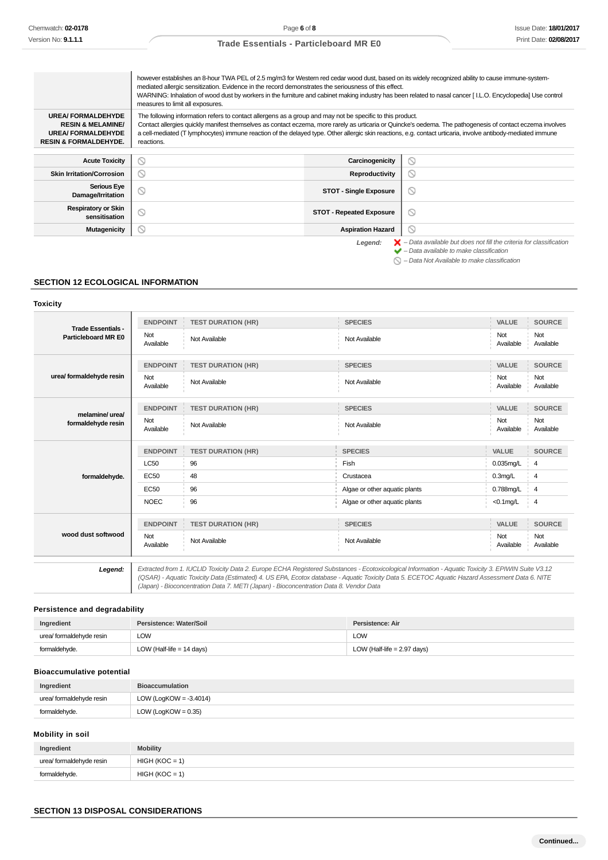|                                                                                                                          | however establishes an 8-hour TWA PEL of 2.5 mg/m3 for Western red cedar wood dust, based on its widely recognized ability to cause immune-system-<br>mediated allergic sensitization. Evidence in the record demonstrates the seriousness of this effect.<br>WARNING: Inhalation of wood dust by workers in the furniture and cabinet making industry has been related to nasal cancer [I.L.O. Encyclopedia] Use control<br>measures to limit all exposures. |                                                                                          |  |
|--------------------------------------------------------------------------------------------------------------------------|---------------------------------------------------------------------------------------------------------------------------------------------------------------------------------------------------------------------------------------------------------------------------------------------------------------------------------------------------------------------------------------------------------------------------------------------------------------|------------------------------------------------------------------------------------------|--|
| <b>UREA/FORMALDEHYDE</b><br><b>RESIN &amp; MELAMINE/</b><br><b>UREA/FORMALDEHYDE</b><br><b>RESIN &amp; FORMALDEHYDE.</b> | The following information refers to contact allergens as a group and may not be specific to this product.<br>Contact allergies quickly manifest themselves as contact eczema, more rarely as urticaria or Quincke's oedema. The pathogenesis of contact eczema involves<br>a cell-mediated (T lymphocytes) immune reaction of the delayed type. Other allergic skin reactions, e.g. contact urticaria, involve antibody-mediated immune<br>reactions.         |                                                                                          |  |
| <b>Acute Toxicity</b>                                                                                                    | Carcinogenicity<br>N                                                                                                                                                                                                                                                                                                                                                                                                                                          | Q                                                                                        |  |
| <b>Skin Irritation/Corrosion</b>                                                                                         | <b>Reproductivity</b><br>N                                                                                                                                                                                                                                                                                                                                                                                                                                    | ல                                                                                        |  |
| <b>Serious Eye</b><br>Damage/Irritation                                                                                  | <b>STOT - Single Exposure</b>                                                                                                                                                                                                                                                                                                                                                                                                                                 | ⊚                                                                                        |  |
| <b>Respiratory or Skin</b><br>sensitisation                                                                              | <b>STOT - Repeated Exposure</b>                                                                                                                                                                                                                                                                                                                                                                                                                               | ∾                                                                                        |  |
| <b>Mutagenicity</b>                                                                                                      | <b>Aspiration Hazard</b>                                                                                                                                                                                                                                                                                                                                                                                                                                      | Q                                                                                        |  |
|                                                                                                                          | Legend:                                                                                                                                                                                                                                                                                                                                                                                                                                                       | $\blacktriangleright$ - Data available but does not fill the criteria for classification |  |

 $\blacktriangleright$  – Data available to make classification

 $\bigcirc$  – Data Not Available to make classification

## **SECTION 12 ECOLOGICAL INFORMATION**

#### **Toxicity**

| <b>Trade Essentials -</b><br>Particleboard MR E0 | <b>ENDPOINT</b>  | <b>TEST DURATION (HR)</b>                                                              | <b>SPECIES</b>                                                                                                                                                                                                                                                                                        | <b>VALUE</b>     | <b>SOURCE</b>    |
|--------------------------------------------------|------------------|----------------------------------------------------------------------------------------|-------------------------------------------------------------------------------------------------------------------------------------------------------------------------------------------------------------------------------------------------------------------------------------------------------|------------------|------------------|
|                                                  | Not<br>Available | Not Available                                                                          | Not Available                                                                                                                                                                                                                                                                                         | Not<br>Available | Not<br>Available |
| urea/ formaldehyde resin                         | <b>ENDPOINT</b>  | <b>TEST DURATION (HR)</b>                                                              | <b>SPECIES</b>                                                                                                                                                                                                                                                                                        | <b>VALUE</b>     | <b>SOURCE</b>    |
|                                                  | Not<br>Available | Not Available                                                                          | Not Available                                                                                                                                                                                                                                                                                         | Not<br>Available | Not<br>Available |
| melamine/ urea/<br>formaldehyde resin            | <b>ENDPOINT</b>  | <b>TEST DURATION (HR)</b>                                                              | <b>SPECIES</b>                                                                                                                                                                                                                                                                                        | VALUE            | <b>SOURCE</b>    |
|                                                  | Not<br>Available | Not Available                                                                          | Not Available                                                                                                                                                                                                                                                                                         | Not<br>Available | Not<br>Available |
| formaldehyde.                                    | <b>ENDPOINT</b>  | <b>TEST DURATION (HR)</b>                                                              | <b>SPECIES</b>                                                                                                                                                                                                                                                                                        | <b>VALUE</b>     | <b>SOURCE</b>    |
|                                                  | <b>LC50</b>      | 96                                                                                     | Fish                                                                                                                                                                                                                                                                                                  | $0.035$ mg/L     | 4                |
|                                                  | <b>EC50</b>      | 48                                                                                     | Crustacea                                                                                                                                                                                                                                                                                             | $0.3$ mg/L       | $\overline{4}$   |
|                                                  | <b>EC50</b>      | 96                                                                                     | Algae or other aquatic plants                                                                                                                                                                                                                                                                         | 0.788mg/L        | $\overline{4}$   |
|                                                  | <b>NOEC</b>      | 96                                                                                     | Algae or other aquatic plants                                                                                                                                                                                                                                                                         | $<$ 0.1 $mg/L$   | $\overline{4}$   |
| wood dust softwood                               | <b>ENDPOINT</b>  | <b>TEST DURATION (HR)</b>                                                              | <b>SPECIES</b>                                                                                                                                                                                                                                                                                        | VALUE            | <b>SOURCE</b>    |
|                                                  | Not<br>Available | Not Available                                                                          | Not Available                                                                                                                                                                                                                                                                                         | Not<br>Available | Not<br>Available |
| Legend:                                          |                  | (Japan) - Bioconcentration Data 7. METI (Japan) - Bioconcentration Data 8. Vendor Data | Extracted from 1. IUCLID Toxicity Data 2. Europe ECHA Registered Substances - Ecotoxicological Information - Aquatic Toxicity 3. EPIWIN Suite V3.12<br>(QSAR) - Aquatic Toxicity Data (Estimated) 4. US EPA, Ecotox database - Aquatic Toxicity Data 5. ECETOC Aquatic Hazard Assessment Data 6. NITE |                  |                  |

## **Persistence and degradability**

| Ingredient               | Persistence: Water/Soil     | Persistence: Air              |
|--------------------------|-----------------------------|-------------------------------|
| urea/ formaldehyde resin | LOW                         | <b>LOW</b>                    |
| formaldehyde.            | LOW (Half-life $= 14$ days) | LOW (Half-life $= 2.97$ days) |

## **Bioaccumulative potential**

| Ingredient               | <b>Bioaccumulation</b>    |
|--------------------------|---------------------------|
| urea/ formaldehyde resin | LOW (LogKOW = $-3.4014$ ) |
| formaldehyde.            | LOW (LogKOW = $0.35$ )    |

## **Mobility in soil**

| Ingredient               | <b>Mobility</b>  |
|--------------------------|------------------|
| urea/ formaldehyde resin | $HIGH (KOC = 1)$ |
| formaldehyde.            | $HIGH (KOC = 1)$ |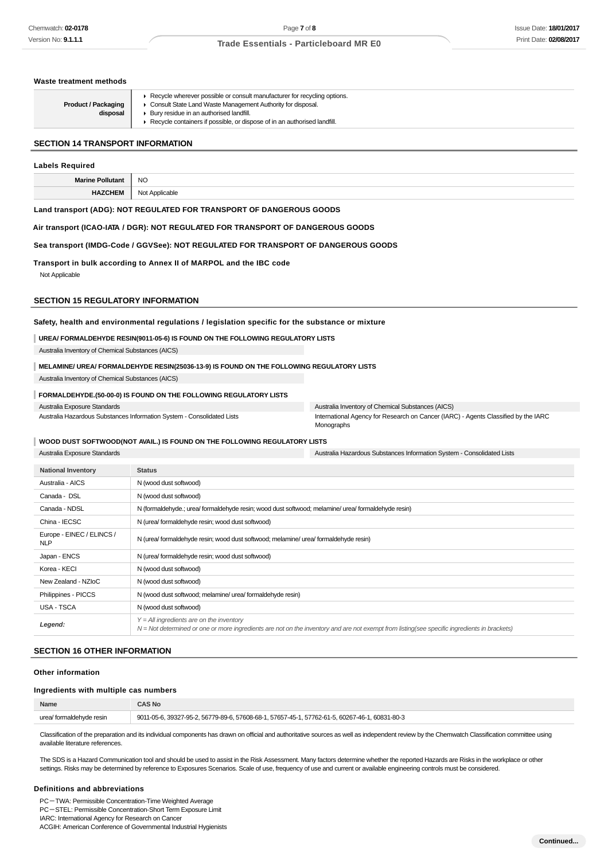**Waste treatment methods**

## **Trade Essentials - Particleboard MR E0**

| <b>Product / Packaging</b><br>disposal            | ▶ Recycle wherever possible or consult manufacturer for recycling options.<br>Consult State Land Waste Management Authority for disposal.<br>Bury residue in an authorised landfill.<br>Recycle containers if possible, or dispose of in an authorised landfill. |                                                                                                  |  |
|---------------------------------------------------|------------------------------------------------------------------------------------------------------------------------------------------------------------------------------------------------------------------------------------------------------------------|--------------------------------------------------------------------------------------------------|--|
| <b>SECTION 14 TRANSPORT INFORMATION</b>           |                                                                                                                                                                                                                                                                  |                                                                                                  |  |
| <b>Labels Required</b>                            |                                                                                                                                                                                                                                                                  |                                                                                                  |  |
| <b>Marine Pollutant</b>                           | N <sub>O</sub>                                                                                                                                                                                                                                                   |                                                                                                  |  |
| <b>HAZCHEM</b>                                    | Not Applicable                                                                                                                                                                                                                                                   |                                                                                                  |  |
|                                                   | Land transport (ADG): NOT REGULATED FOR TRANSPORT OF DANGEROUS GOODS                                                                                                                                                                                             |                                                                                                  |  |
|                                                   | Air transport (ICAO-IATA / DGR): NOT REGULATED FOR TRANSPORT OF DANGEROUS GOODS                                                                                                                                                                                  |                                                                                                  |  |
|                                                   | Sea transport (IMDG-Code / GGVSee): NOT REGULATED FOR TRANSPORT OF DANGEROUS GOODS                                                                                                                                                                               |                                                                                                  |  |
| Not Applicable                                    | Transport in bulk according to Annex II of MARPOL and the IBC code                                                                                                                                                                                               |                                                                                                  |  |
| <b>SECTION 15 REGULATORY INFORMATION</b>          |                                                                                                                                                                                                                                                                  |                                                                                                  |  |
|                                                   | Safety, health and environmental regulations / legislation specific for the substance or mixture                                                                                                                                                                 |                                                                                                  |  |
|                                                   | UREA/ FORMALDEHYDE RESIN(9011-05-6) IS FOUND ON THE FOLLOWING REGULATORY LISTS                                                                                                                                                                                   |                                                                                                  |  |
| Australia Inventory of Chemical Substances (AICS) |                                                                                                                                                                                                                                                                  |                                                                                                  |  |
|                                                   | MELAMINE/ UREA/ FORMALDEHYDE RESIN(25036-13-9) IS FOUND ON THE FOLLOWING REGULATORY LISTS                                                                                                                                                                        |                                                                                                  |  |
| Australia Inventory of Chemical Substances (AICS) |                                                                                                                                                                                                                                                                  |                                                                                                  |  |
|                                                   | FORMALDEHYDE.(50-00-0) IS FOUND ON THE FOLLOWING REGULATORY LISTS                                                                                                                                                                                                |                                                                                                  |  |
| Australia Exposure Standards                      |                                                                                                                                                                                                                                                                  | Australia Inventory of Chemical Substances (AICS)                                                |  |
|                                                   | Australia Hazardous Substances Information System - Consolidated Lists                                                                                                                                                                                           | International Agency for Research on Cancer (IARC) - Agents Classified by the IARC<br>Monographs |  |
|                                                   | WOOD DUST SOFTWOOD(NOT AVAIL.) IS FOUND ON THE FOLLOWING REGULATORY LISTS                                                                                                                                                                                        |                                                                                                  |  |
| Australia Exposure Standards                      |                                                                                                                                                                                                                                                                  | Australia Hazardous Substances Information System - Consolidated Lists                           |  |
| <b>National Inventory</b>                         | <b>Status</b>                                                                                                                                                                                                                                                    |                                                                                                  |  |
| Australia - AICS                                  | N (wood dust softwood)                                                                                                                                                                                                                                           |                                                                                                  |  |
| Canada - DSL                                      | N (wood dust softwood)                                                                                                                                                                                                                                           |                                                                                                  |  |
| Canada - NDSL                                     | N (formaldehyde.; urea/ formaldehyde resin; wood dust softwood; melamine/ urea/ formaldehyde resin)                                                                                                                                                              |                                                                                                  |  |
| China - IECSC                                     | N (urea/ formaldehyde resin; wood dust softwood)                                                                                                                                                                                                                 |                                                                                                  |  |
| Europe - EINEC / ELINCS /<br><b>NLP</b>           | N (urea/ formaldehyde resin; wood dust softwood; melamine/ urea/ formaldehyde resin)                                                                                                                                                                             |                                                                                                  |  |
| Japan - ENCS                                      | N (urea/ formaldehyde resin; wood dust softwood)                                                                                                                                                                                                                 |                                                                                                  |  |

| Korea - KECI        | N (wood dust softwood)                                                                                                                                                                     |
|---------------------|--------------------------------------------------------------------------------------------------------------------------------------------------------------------------------------------|
| New Zealand - NZIoC | N (wood dust softwood)                                                                                                                                                                     |
| Philippines - PICCS | N (wood dust softwood; melamine/ urea/ formaldehyde resin)                                                                                                                                 |
| USA - TSCA          | N (wood dust softwood)                                                                                                                                                                     |
| Legend:             | $Y = All$ ingredients are on the inventory<br>N = Not determined or one or more ingredients are not on the inventory and are not exempt from listing(see specific ingredients in brackets) |

#### **SECTION 16 OTHER INFORMATION**

#### **Other information**

#### **Ingredients with multiple cas numbers**

| Name                     | <b>CAS No</b>                                                                                 |
|--------------------------|-----------------------------------------------------------------------------------------------|
| urea/ formaldehyde resin | 9011-05-6, 39327-95-2, 56779-89-6, 57608-68-1, 57657-45-1, 57762-61-5, 60267-46-1, 60831-80-3 |
|                          |                                                                                               |

Classification of the preparation and its individual components has drawn on official and authoritative sources as well as independent review by the Chemwatch Classification committee using available literature references.

The SDS is a Hazard Communication tool and should be used to assist in the Risk Assessment. Many factors determine whether the reported Hazards are Risks in the workplace or other settings. Risks may be determined by reference to Exposures Scenarios. Scale of use, frequency of use and current or available engineering controls must be considered.

#### **Definitions and abbreviations**

PC-TWA: Permissible Concentration-Time Weighted Average PC-STEL: Permissible Concentration-Short Term Exposure Limit

IARC: International Agency for Research on Cancer ACGIH: American Conference of Governmental Industrial Hygienists